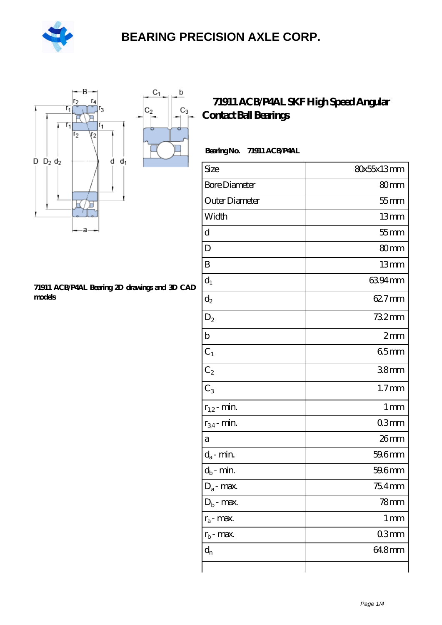

 $\sf b$ 

ó

 $C_3$ 



#### **[71911 ACB/P4AL Bearing 2D drawings and 3D CAD](https://m.hilalanaokulu.com/pic-660719.html) [models](https://m.hilalanaokulu.com/pic-660719.html)**

#### **[71911 ACB/P4AL SKF High Speed Angular](https://m.hilalanaokulu.com/skf-bearings/71911-acb-p4al.html) [Contact Ball Bearings](https://m.hilalanaokulu.com/skf-bearings/71911-acb-p4al.html)**

| Bearing No. | 71911 ACB/P4AL |
|-------------|----------------|
|-------------|----------------|

| Size                 | 80x55x13mm        |
|----------------------|-------------------|
| <b>Bore Diameter</b> | 80mm              |
| Outer Diameter       | $55$ mm           |
| Width                | 13mm              |
| d                    | $55$ mm           |
| D                    | 80mm              |
| B                    | 13mm              |
| $d_1$                | 6394mm            |
| $d_2$                | 62.7mm            |
| $\mathrm{D}_2$       | 732mm             |
| $\mathbf b$          | 2mm               |
| $C_1$                | 65mm              |
| $C_2$                | 38 <sub>mm</sub>  |
| $C_3$                | 1.7 <sub>mm</sub> |
| $r_{1,2}$ - min.     | 1 <sub>mm</sub>   |
| $r_{34}$ - min.      | 03mm              |
| a                    | 26mm              |
| $d_a$ - min.         | 59.6mm            |
| $d_b$ - min.         | 59.6mm            |
| $D_a$ - max.         | $754$ mm          |
| $D_b$ - max.         | $78$ mm           |
| $r_a$ - max.         | $1 \,\mathrm{mm}$ |
| $r_{b}$ - max.       | 03mm              |
| $d_{n}$              | 648mm             |
|                      |                   |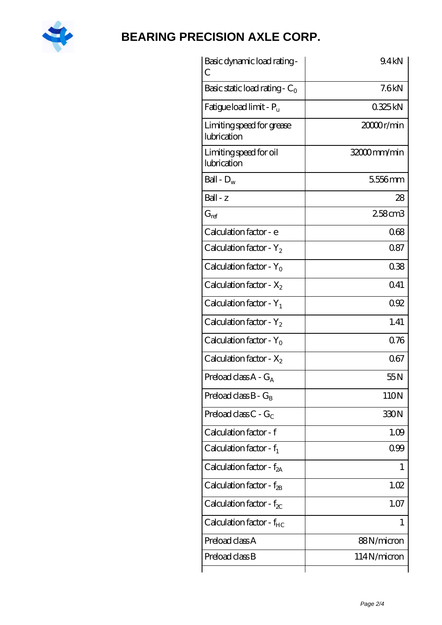

| Basic dynamic load rating -<br>С         | 9.4kN       |
|------------------------------------------|-------------|
| Basic static load rating - $C_0$         | 7.6kN       |
| Fatigue load limit - P <sub>u</sub>      | 0325kN      |
| Limiting speed for grease<br>lubrication | 20000r/min  |
| Limiting speed for oil<br>lubrication    | 32000mm/min |
| Ball - $D_w$                             | 5556mm      |
| $Ball - z$                               | 28          |
| $G_{ref}$                                | 258cm3      |
| Calculation factor - e                   | 068         |
| Calculation factor - $Y_2$               | 087         |
| Calculation factor - $Y_0$               | 038         |
| Calculation factor - $X_2$               | 041         |
| Calculation factor - $Y_1$               | 092         |
| Calculation factor - $Y_2$               | 1.41        |
| Calculation factor - $Y_0$               | 0.76        |
| Calculation factor - $X_2$               | 067         |
| Preload class $A - G_A$                  | 55N         |
| Preload class $B - G_B$                  | 110N        |
| Preload class $C - G_C$                  | 330N        |
| Calculation factor - f                   | 1.09        |
| Calculation factor - $f_1$               | 099         |
| Calculation factor - $f_{2A}$            | 1           |
| Calculation factor - $f_{2B}$            | 1.02        |
| Calculation factor - $f_{\chi}$          | 1.07        |
| Calculation factor - $f_{HC}$            | 1           |
| Preload class A                          | 88N/micron  |
| Preload class B                          | 114N/micron |
|                                          |             |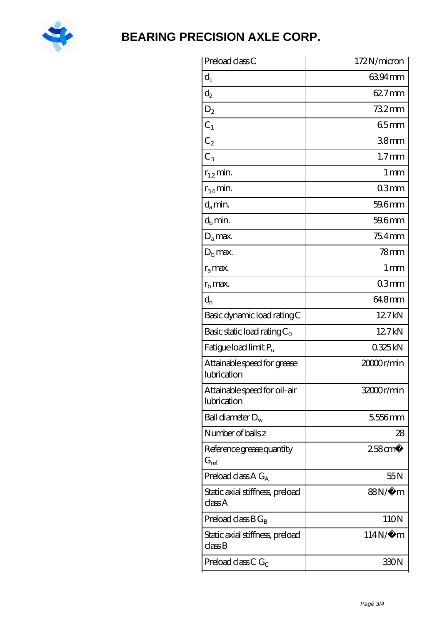

| Preload class C                                               | 172N/micron           |
|---------------------------------------------------------------|-----------------------|
| $d_1$                                                         | 6394mm                |
| $\mathrm{d}_2$                                                | 62.7mm                |
| $D_2$                                                         | 732mm                 |
| $C_1$                                                         | 65mm                  |
| $C_2$                                                         | 38 <sub>mm</sub>      |
| $C_3$                                                         | 1.7 <sub>mm</sub>     |
| $r_{1,2}$ min.                                                | $1 \,\mathrm{mm}$     |
| $r_{34}$ min.                                                 | 03mm                  |
| $d_a$ min.                                                    | 59.6mm                |
| $d_h$ min.                                                    | 59.6mm                |
| $D_a$ max.                                                    | 75.4mm                |
| $Db$ max.                                                     | $78$ mm               |
| $r_a$ max.                                                    | 1 <sub>mm</sub>       |
| $r_{\rm b}$ max.                                              | 03mm                  |
| $d_{n}$                                                       | 64.8mm                |
| Basic dynamic load rating C                                   | 12.7kN                |
| Basic static load rating $C_0$                                | 12.7kN                |
| Fatigue load limit Pu                                         | 0325kN                |
| Attainable speed for grease<br>lubrication                    | 20000r/min            |
| Attainable speed for oil-air<br>lubrication                   | 32000r/min            |
| Ball diameter $D_w$                                           | 5556mm                |
| Number of balls z                                             | 28                    |
| Reference grease quantity<br>$G_{ref}$                        | $258$ cm <sup>3</sup> |
| Preload class A $G_A$                                         | 55N                   |
| Static axial stiffness, preload<br>classA                     | 88N/μ m               |
| Preload class $BG_B$                                          | 110N                  |
| Static axial stiffness, preload<br>$\mathrm{class}\mathrm{B}$ | $114N/\mu$ m          |
| Preload class C $G_C$                                         | 330N                  |
|                                                               |                       |